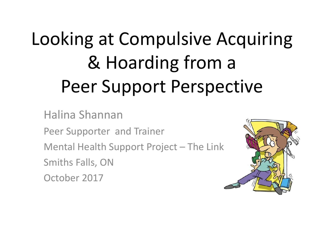## Looking at Compulsive Acquiring & Hoarding from a Peer Support Perspective

Halina Shannan Peer Supporter and Trainer Mental Health Support Project – The Link Smiths Falls, ON October 2017

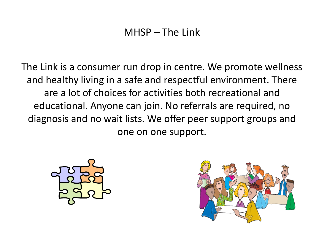## MHSP – The Link

The Link is a consumer run drop in centre. We promote wellness and healthy living in a safe and respectful environment. There are a lot of choices for activities both recreational and educational. Anyone can join. No referrals are required, no diagnosis and no wait lists. We offer peer support groups and one on one support.



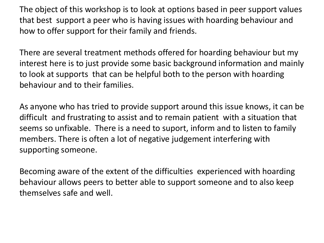The object of this workshop is to look at options based in peer support values that best support a peer who is having issues with hoarding behaviour and how to offer support for their family and friends.

There are several treatment methods offered for hoarding behaviour but my interest here is to just provide some basic background information and mainly to look at supports that can be helpful both to the person with hoarding behaviour and to their families.

As anyone who has tried to provide support around this issue knows, it can be difficult and frustrating to assist and to remain patient with a situation that seems so unfixable. There is a need to suport, inform and to listen to family members. There is often a lot of negative judgement interfering with supporting someone.

Becoming aware of the extent of the difficulties experienced with hoarding behaviour allows peers to better able to support someone and to also keep themselves safe and well.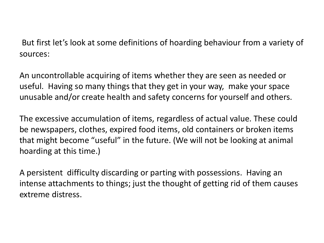But first let's look at some definitions of hoarding behaviour from a variety of sources:

An uncontrollable acquiring of items whether they are seen as needed or useful. Having so many things that they get in your way, make your space unusable and/or create health and safety concerns for yourself and others.

The excessive accumulation of items, regardless of actual value. These could be newspapers, clothes, expired food items, old containers or broken items that might become "useful" in the future. (We will not be looking at animal hoarding at this time.)

A persistent difficulty discarding or parting with possessions. Having an intense attachments to things; just the thought of getting rid of them causes extreme distress.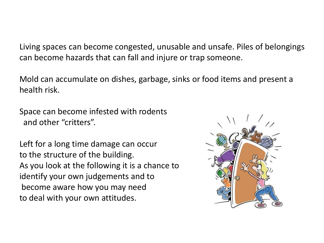Living spaces can become congested, unusable and unsafe. Piles of belongings can become hazards that can fall and injure or trap someone.

Mold can accumulate on dishes, garbage, sinks or food items and present a health risk.

Space can become infested with rodents and other "critters".

Left for a long time damage can occur to the structure of the building. As you look at the following it is a chance to identify your own judgements and to become aware how you may need to deal with your own attitudes.

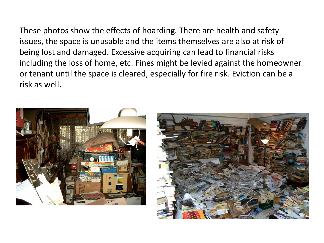These photos show the effects of hoarding. There are health and safety issues, the space is unusable and the items themselves are also at risk of being lost and damaged. Excessive acquiring can lead to financial risks including the loss of home, etc. Fines might be levied against the homeowner or tenant until the space is cleared, especially for fire risk. Eviction can be a risk as well.



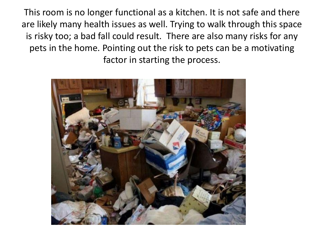This room is no longer functional as a kitchen. It is not safe and there are likely many health issues as well. Trying to walk through this space is risky too; a bad fall could result. There are also many risks for any pets in the home. Pointing out the risk to pets can be a motivating factor in starting the process.

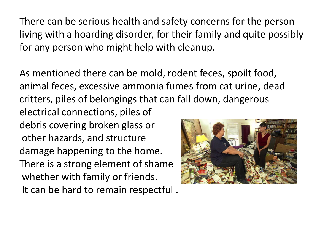There can be serious health and safety concerns for the person living with a hoarding disorder, for their family and quite possibly for any person who might help with cleanup.

As mentioned there can be mold, rodent feces, spoilt food, animal feces, excessive ammonia fumes from cat urine, dead critters, piles of belongings that can fall down, dangerous electrical connections, piles of debris covering broken glass or other hazards, and structure damage happening to the home. There is a strong element of shame whether with family or friends. It can be hard to remain respectful .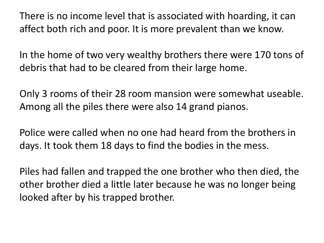There is no income level that is associated with hoarding, it can affect both rich and poor. It is more prevalent than we know.

In the home of two very wealthy brothers there were 170 tons of debris that had to be cleared from their large home.

Only 3 rooms of their 28 room mansion were somewhat useable. Among all the piles there were also 14 grand pianos.

Police were called when no one had heard from the brothers in days. It took them 18 days to find the bodies in the mess.

Piles had fallen and trapped the one brother who then died, the other brother died a little later because he was no longer being looked after by his trapped brother.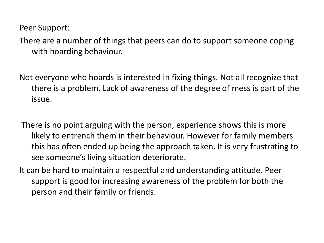Peer Support:

There are a number of things that peers can do to support someone coping with hoarding behaviour.

Not everyone who hoards is interested in fixing things. Not all recognize that there is a problem. Lack of awareness of the degree of mess is part of the issue.

There is no point arguing with the person, experience shows this is more likely to entrench them in their behaviour. However for family members this has often ended up being the approach taken. It is very frustrating to see someone's living situation deteriorate.

It can be hard to maintain a respectful and understanding attitude. Peer support is good for increasing awareness of the problem for both the person and their family or friends.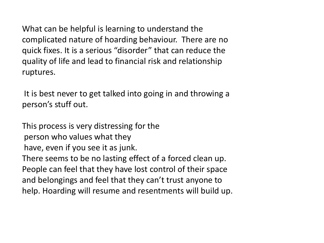What can be helpful is learning to understand the complicated nature of hoarding behaviour. There are no quick fixes. It is a serious "disorder" that can reduce the quality of life and lead to financial risk and relationship ruptures.

It is best never to get talked into going in and throwing a person's stuff out.

This process is very distressing for the person who values what they have, even if you see it as junk. There seems to be no lasting effect of a forced clean up. People can feel that they have lost control of their space and belongings and feel that they can't trust anyone to help. Hoarding will resume and resentments will build up.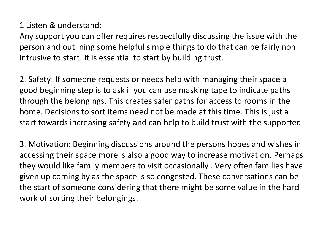## 1 Listen & understand:

Any support you can offer requires respectfully discussing the issue with the person and outlining some helpful simple things to do that can be fairly non intrusive to start. It is essential to start by building trust.

2. Safety: If someone requests or needs help with managing their space a good beginning step is to ask if you can use masking tape to indicate paths through the belongings. This creates safer paths for access to rooms in the home. Decisions to sort items need not be made at this time. This is just a start towards increasing safety and can help to build trust with the supporter.

3. Motivation: Beginning discussions around the persons hopes and wishes in accessing their space more is also a good way to increase motivation. Perhaps they would like family members to visit occasionally . Very often families have given up coming by as the space is so congested. These conversations can be the start of someone considering that there might be some value in the hard work of sorting their belongings.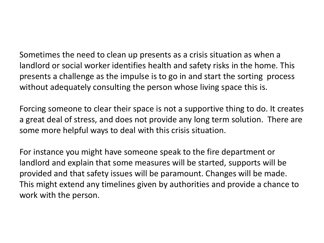Sometimes the need to clean up presents as a crisis situation as when a landlord or social worker identifies health and safety risks in the home. This presents a challenge as the impulse is to go in and start the sorting process without adequately consulting the person whose living space this is.

Forcing someone to clear their space is not a supportive thing to do. It creates a great deal of stress, and does not provide any long term solution. There are some more helpful ways to deal with this crisis situation.

For instance you might have someone speak to the fire department or landlord and explain that some measures will be started, supports will be provided and that safety issues will be paramount. Changes will be made. This might extend any timelines given by authorities and provide a chance to work with the person.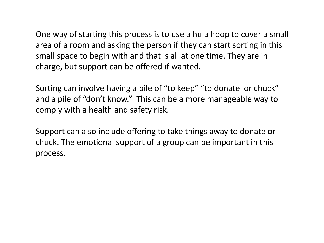One way of starting this process is to use a hula hoop to cover a small area of a room and asking the person if they can start sorting in this small space to begin with and that is all at one time. They are in charge, but support can be offered if wanted.

Sorting can involve having a pile of "to keep" "to donate or chuck" and a pile of "don't know." This can be a more manageable way to comply with a health and safety risk.

Support can also include offering to take things away to donate or chuck. The emotional support of a group can be important in this process.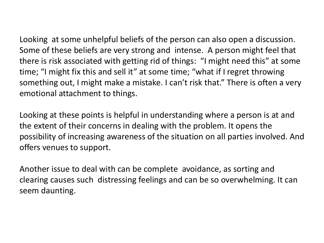Looking at some unhelpful beliefs of the person can also open a discussion. Some of these beliefs are very strong and intense. A person might feel that there is risk associated with getting rid of things: "I might need this" at some time; "I might fix this and sell it" at some time; "what if I regret throwing something out, I might make a mistake. I can't risk that." There is often a very emotional attachment to things.

Looking at these points is helpful in understanding where a person is at and the extent of their concerns in dealing with the problem. It opens the possibility of increasing awareness of the situation on all parties involved. And offers venues to support.

Another issue to deal with can be complete avoidance, as sorting and clearing causes such distressing feelings and can be so overwhelming. It can seem daunting.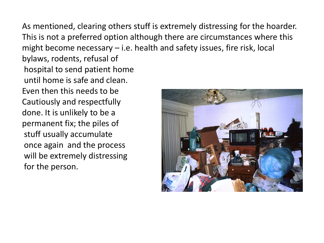As mentioned, clearing others stuff is extremely distressing for the hoarder. This is not a preferred option although there are circumstances where this might become necessary – i.e. health and safety issues, fire risk, local

bylaws, rodents, refusal of hospital to send patient home until home is safe and clean. Even then this needs to be Cautiously and respectfully done. It is unlikely to be a permanent fix; the piles of stuff usually accumulate once again and the process will be extremely distressing for the person.

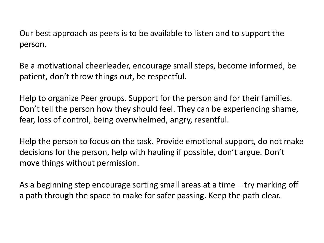Our best approach as peers is to be available to listen and to support the person.

Be a motivational cheerleader, encourage small steps, become informed, be patient, don't throw things out, be respectful.

Help to organize Peer groups. Support for the person and for their families. Don't tell the person how they should feel. They can be experiencing shame, fear, loss of control, being overwhelmed, angry, resentful.

Help the person to focus on the task. Provide emotional support, do not make decisions for the person, help with hauling if possible, don't argue. Don't move things without permission.

As a beginning step encourage sorting small areas at a time – try marking off a path through the space to make for safer passing. Keep the path clear.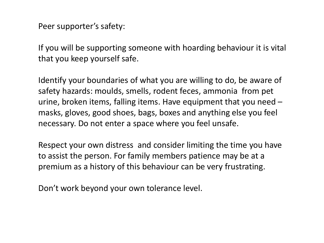Peer supporter's safety:

If you will be supporting someone with hoarding behaviour it is vital that you keep yourself safe.

Identify your boundaries of what you are willing to do, be aware of safety hazards: moulds, smells, rodent feces, ammonia from pet urine, broken items, falling items. Have equipment that you need – masks, gloves, good shoes, bags, boxes and anything else you feel necessary. Do not enter a space where you feel unsafe.

Respect your own distress and consider limiting the time you have to assist the person. For family members patience may be at a premium as a history of this behaviour can be very frustrating.

Don't work beyond your own tolerance level.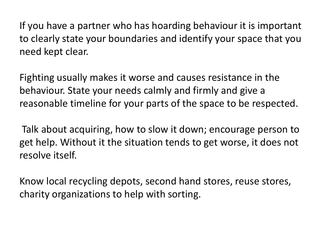If you have a partner who has hoarding behaviour it is important to clearly state your boundaries and identify your space that you need kept clear.

Fighting usually makes it worse and causes resistance in the behaviour. State your needs calmly and firmly and give a reasonable timeline for your parts of the space to be respected.

Talk about acquiring, how to slow it down; encourage person to get help. Without it the situation tends to get worse, it does not resolve itself.

Know local recycling depots, second hand stores, reuse stores, charity organizations to help with sorting.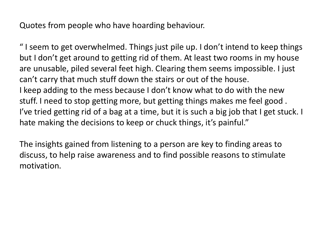Quotes from people who have hoarding behaviour.

" I seem to get overwhelmed. Things just pile up. I don't intend to keep things but I don't get around to getting rid of them. At least two rooms in my house are unusable, piled several feet high. Clearing them seems impossible. I just can't carry that much stuff down the stairs or out of the house. I keep adding to the mess because I don't know what to do with the new stuff. I need to stop getting more, but getting things makes me feel good . I've tried getting rid of a bag at a time, but it is such a big job that I get stuck. I hate making the decisions to keep or chuck things, it's painful."

The insights gained from listening to a person are key to finding areas to discuss, to help raise awareness and to find possible reasons to stimulate motivation.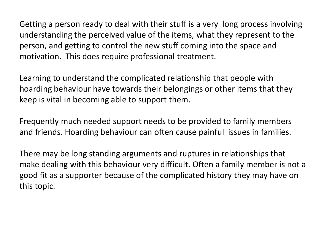Getting a person ready to deal with their stuff is a very long process involving understanding the perceived value of the items, what they represent to the person, and getting to control the new stuff coming into the space and motivation. This does require professional treatment.

Learning to understand the complicated relationship that people with hoarding behaviour have towards their belongings or other items that they keep is vital in becoming able to support them.

Frequently much needed support needs to be provided to family members and friends. Hoarding behaviour can often cause painful issues in families.

 There may be long standing arguments and ruptures in relationships that make dealing with this behaviour very difficult. Often a family member is not a good fit as a supporter because of the complicated history they may have on this topic.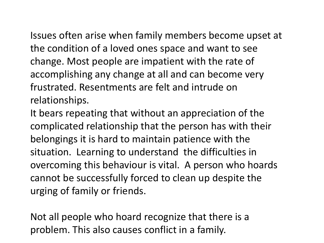Issues often arise when family members become upset at the condition of a loved ones space and want to see change. Most people are impatient with the rate of accomplishing any change at all and can become very frustrated. Resentments are felt and intrude on relationships.

It bears repeating that without an appreciation of the complicated relationship that the person has with their belongings it is hard to maintain patience with the situation. Learning to understand the difficulties in overcoming this behaviour is vital. A person who hoards cannot be successfully forced to clean up despite the urging of family or friends.

Not all people who hoard recognize that there is a problem. This also causes conflict in a family.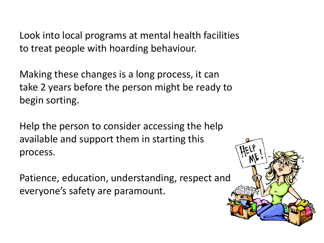Look into local programs at mental health facilities to treat people with hoarding behaviour.

Making these changes is a long process, it can take 2 years before the person might be ready to begin sorting.

Help the person to consider accessing the help available and support them in starting this process.

Patience, education, understanding, respect and everyone's safety are paramount.

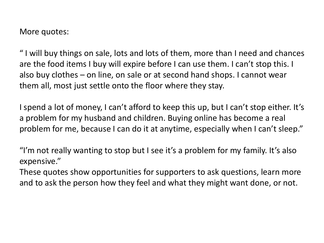More quotes:

" I will buy things on sale, lots and lots of them, more than I need and chances are the food items I buy will expire before I can use them. I can't stop this. I also buy clothes – on line, on sale or at second hand shops. I cannot wear them all, most just settle onto the floor where they stay.

I spend a lot of money, I can't afford to keep this up, but I can't stop either. It's a problem for my husband and children. Buying online has become a real problem for me, because I can do it at anytime, especially when I can't sleep."

"I'm not really wanting to stop but I see it's a problem for my family. It's also expensive."

These quotes show opportunities for supporters to ask questions, learn more and to ask the person how they feel and what they might want done, or not.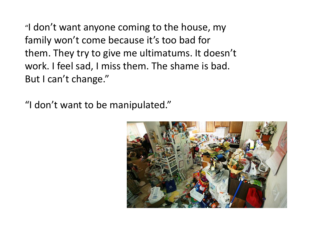"I don't want anyone coming to the house, my family won't come because it's too bad for them. They try to give me ultimatums. It doesn't work. I feel sad, I miss them. The shame is bad. But I can't change."

"I don't want to be manipulated."

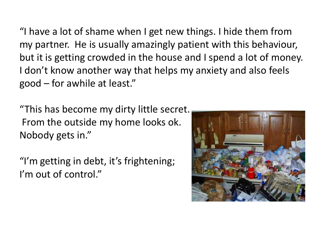"I have a lot of shame when I get new things. I hide them from my partner. He is usually amazingly patient with this behaviour, but it is getting crowded in the house and I spend a lot of money. I don't know another way that helps my anxiety and also feels good – for awhile at least."

"This has become my dirty little secret. From the outside my home looks ok. Nobody gets in."

"I'm getting in debt, it's frightening; I'm out of control."

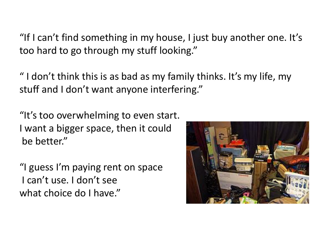"If I can't find something in my house, I just buy another one. It's too hard to go through my stuff looking."

" I don't think this is as bad as my family thinks. It's my life, my stuff and I don't want anyone interfering."

"It's too overwhelming to even start. I want a bigger space, then it could be better."

"I guess I'm paying rent on space I can't use. I don't see what choice do I have."